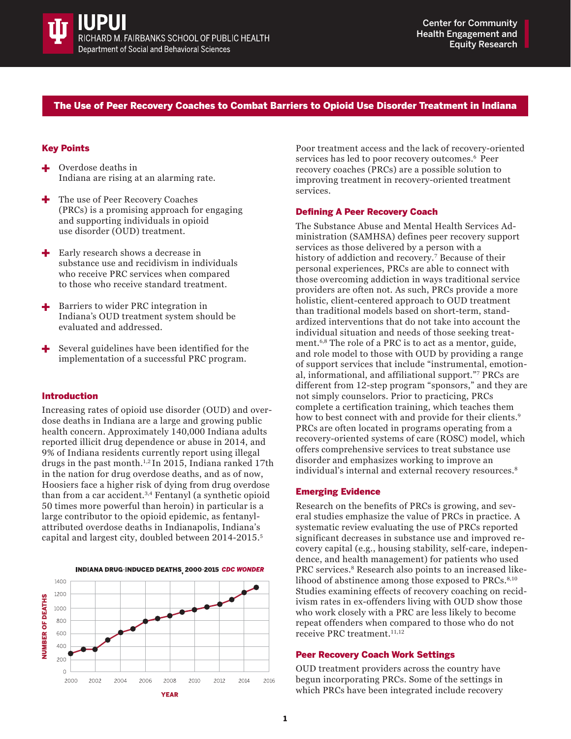

# The Use of Peer Recovery Coaches to Combat Barriers to Opioid Use Disorder Treatment in Indiana

## Key Points

- Overdose deaths in Indiana are rising at an alarming rate.
- The use of Peer Recovery Coaches (PRCs) is a promising approach for engaging and supporting individuals in opioid use disorder (OUD) treatment.
- Early research shows a decrease in ÷ substance use and recidivism in individuals who receive PRC services when compared to those who receive standard treatment.
- Barriers to wider PRC integration in Indiana's OUD treatment system should be evaluated and addressed.
- Several guidelines have been identified for the implementation of a successful PRC program.

#### Introduction

Increasing rates of opioid use disorder (OUD) and overdose deaths in Indiana are a large and growing public health concern. Approximately 140,000 Indiana adults reported illicit drug dependence or abuse in 2014, and 9% of Indiana residents currently report using illegal drugs in the past month.<sup>1,2</sup> In 2015, Indiana ranked 17th in the nation for drug overdose deaths, and as of now, Hoosiers face a higher risk of dying from drug overdose than from a car accident.3,4 Fentanyl (a synthetic opioid 50 times more powerful than heroin) in particular is a large contributor to the opioid epidemic, as fentanylattributed overdose deaths in Indianapolis, Indiana's capital and largest city, doubled between 2014-2015.<sup>5</sup>



Poor treatment access and the lack of recovery-oriented services has led to poor recovery outcomes.<sup>6</sup> Peer recovery coaches (PRCs) are a possible solution to improving treatment in recovery-oriented treatment services.

#### Defining A Peer Recovery Coach

The Substance Abuse and Mental Health Services Administration (SAMHSA) defines peer recovery support services as those delivered by a person with a history of addiction and recovery.<sup>7</sup> Because of their personal experiences, PRCs are able to connect with those overcoming addiction in ways traditional service providers are often not. As such, PRCs provide a more holistic, client-centered approach to OUD treatment than traditional models based on short-term, standardized interventions that do not take into account the individual situation and needs of those seeking treatment.6,8 The role of a PRC is to act as a mentor, guide, and role model to those with OUD by providing a range of support services that include "instrumental, emotional, informational, and affiliational support."<sup>7</sup> PRCs are different from 12-step program "sponsors," and they are not simply counselors. Prior to practicing, PRCs complete a certification training, which teaches them how to best connect with and provide for their clients.<sup>9</sup> PRCs are often located in programs operating from a recovery-oriented systems of care (ROSC) model, which offers comprehensive services to treat substance use disorder and emphasizes working to improve an individual's internal and external recovery resources.<sup>8</sup>

#### Emerging Evidence

Research on the benefits of PRCs is growing, and several studies emphasize the value of PRCs in practice. A systematic review evaluating the use of PRCs reported significant decreases in substance use and improved recovery capital (e.g., housing stability, self-care, independence, and health management) for patients who used PRC services.<sup>8</sup> Research also points to an increased likelihood of abstinence among those exposed to PRCs.<sup>8,10</sup> Studies examining effects of recovery coaching on recidivism rates in ex-offenders living with OUD show those who work closely with a PRC are less likely to become repeat offenders when compared to those who do not receive PRC treatment.<sup>11,12</sup>

### Peer Recovery Coach Work Settings

OUD treatment providers across the country have begun incorporating PRCs. Some of the settings in which PRCs have been integrated include recovery